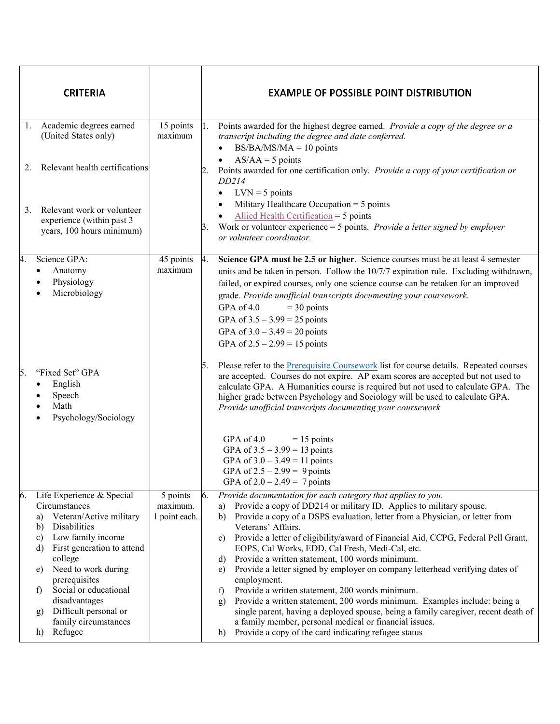| <b>CRITERIA</b>                                                                                                                                                                                                                                                                                                                                                   |                                       | <b>EXAMPLE OF POSSIBLE POINT DISTRIBUTION</b>                                                                                                                                                                                                                                                                                                                                                                                                                                                                                                                                                                                                                                                                                                                                                                                                                                                                                                         |
|-------------------------------------------------------------------------------------------------------------------------------------------------------------------------------------------------------------------------------------------------------------------------------------------------------------------------------------------------------------------|---------------------------------------|-------------------------------------------------------------------------------------------------------------------------------------------------------------------------------------------------------------------------------------------------------------------------------------------------------------------------------------------------------------------------------------------------------------------------------------------------------------------------------------------------------------------------------------------------------------------------------------------------------------------------------------------------------------------------------------------------------------------------------------------------------------------------------------------------------------------------------------------------------------------------------------------------------------------------------------------------------|
| 1. Academic degrees earned<br>(United States only)                                                                                                                                                                                                                                                                                                                | 15 points<br>maximum                  | Points awarded for the highest degree earned. Provide a copy of the degree or a<br>1.<br>transcript including the degree and date conferred.<br>$BS/BA/MS/MA = 10$ points<br>$\bullet$                                                                                                                                                                                                                                                                                                                                                                                                                                                                                                                                                                                                                                                                                                                                                                |
| Relevant health certifications<br>2.                                                                                                                                                                                                                                                                                                                              |                                       | $AS/AA = 5$ points<br>Points awarded for one certification only. Provide a copy of your certification or<br>2.<br>DD214<br>$LVN = 5$ points<br>$\bullet$                                                                                                                                                                                                                                                                                                                                                                                                                                                                                                                                                                                                                                                                                                                                                                                              |
| Relevant work or volunteer<br>3.<br>experience (within past 3<br>years, 100 hours minimum)                                                                                                                                                                                                                                                                        |                                       | Military Healthcare Occupation $=$ 5 points<br>Allied Health Certification = $5$ points<br>Work or volunteer experience $=$ 5 points. Provide a letter signed by employer<br>3.<br>or volunteer coordinator.                                                                                                                                                                                                                                                                                                                                                                                                                                                                                                                                                                                                                                                                                                                                          |
| Science GPA:<br>4.<br>Anatomy<br>$\bullet$<br>Physiology<br>Microbiology                                                                                                                                                                                                                                                                                          | 45 points<br>maximum                  | 4.<br>Science GPA must be 2.5 or higher. Science courses must be at least 4 semester<br>units and be taken in person. Follow the 10/7/7 expiration rule. Excluding withdrawn,<br>failed, or expired courses, only one science course can be retaken for an improved<br>grade. Provide unofficial transcripts documenting your coursework.<br>GPA of 4.0<br>$=$ 30 points<br>GPA of $3.5 - 3.99 = 25$ points<br>GPA of $3.0 - 3.49 = 20$ points<br>GPA of $2.5 - 2.99 = 15$ points                                                                                                                                                                                                                                                                                                                                                                                                                                                                     |
| "Fixed Set" GPA<br>15.<br>English<br>$\bullet$<br>Speech<br>Math<br>Psychology/Sociology                                                                                                                                                                                                                                                                          |                                       | Please refer to the Prerequisite Coursework list for course details. Repeated courses<br>5.<br>are accepted. Courses do not expire. AP exam scores are accepted but not used to<br>calculate GPA. A Humanities course is required but not used to calculate GPA. The<br>higher grade between Psychology and Sociology will be used to calculate GPA.<br>Provide unofficial transcripts documenting your coursework                                                                                                                                                                                                                                                                                                                                                                                                                                                                                                                                    |
|                                                                                                                                                                                                                                                                                                                                                                   |                                       | GPA of 4.0<br>$= 15$ points<br>GPA of $3.5 - 3.99 = 13$ points<br>GPA of $3.0 - 3.49 = 11$ points<br>GPA of $2.5 - 2.99 = 9$ points<br>GPA of $2.0 - 2.49 = 7$ points                                                                                                                                                                                                                                                                                                                                                                                                                                                                                                                                                                                                                                                                                                                                                                                 |
| Life Experience & Special<br>6.<br>Circumstances<br>Veteran/Active military<br>a)<br>Disabilities<br>b)<br>Low family income<br>c)<br>First generation to attend<br>d)<br>college<br>Need to work during<br>e)<br>prerequisites<br>Social or educational<br>$\mathbf{f}$<br>disadvantages<br>Difficult personal or<br>g)<br>family circumstances<br>Refugee<br>h) | 5 points<br>maximum.<br>1 point each. | 6.<br>Provide documentation for each category that applies to you.<br>Provide a copy of DD214 or military ID. Applies to military spouse.<br>a)<br>Provide a copy of a DSPS evaluation, letter from a Physician, or letter from<br>b)<br>Veterans' Affairs.<br>Provide a letter of eligibility/award of Financial Aid, CCPG, Federal Pell Grant,<br>c)<br>EOPS, Cal Works, EDD, Cal Fresh, Medi-Cal, etc.<br>Provide a written statement, 100 words minimum.<br>d)<br>Provide a letter signed by employer on company letterhead verifying dates of<br>e)<br>employment.<br>Provide a written statement, 200 words minimum.<br>$\mathbf{f}$<br>Provide a written statement, 200 words minimum. Examples include: being a<br>$\mathbf{g}$<br>single parent, having a deployed spouse, being a family caregiver, recent death of<br>a family member, personal medical or financial issues.<br>Provide a copy of the card indicating refugee status<br>h) |